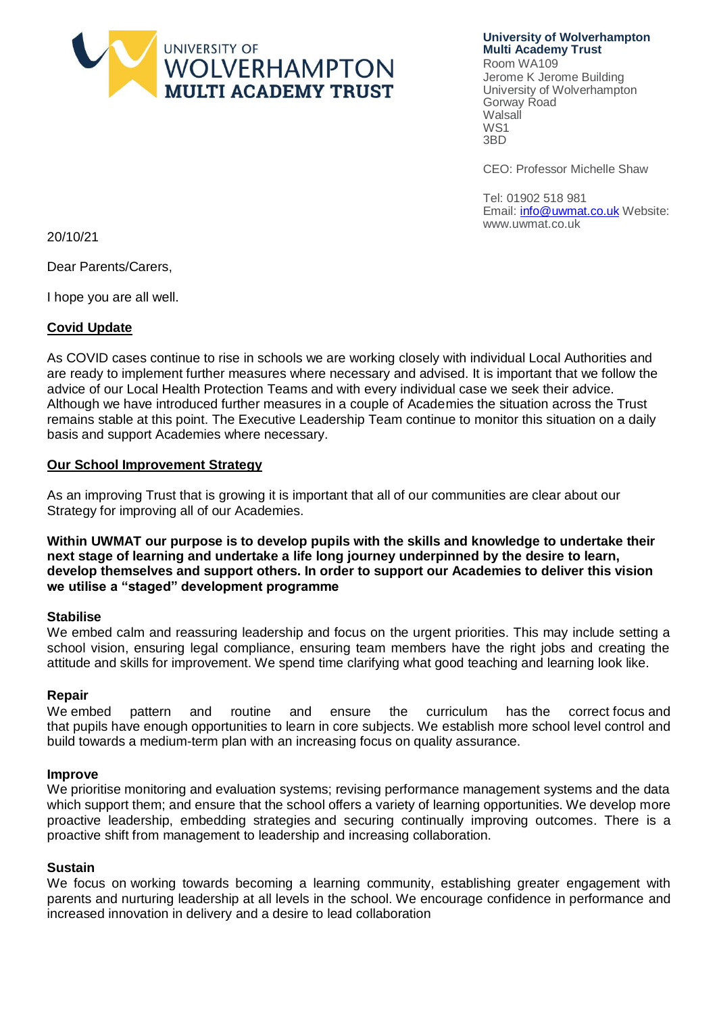

**University of Wolverhampton Multi Academy Trust**

Room WA109 Jerome K Jerome Building University of Wolverhampton Gorway Road Walsall WS1 3BD

CEO: Professor Michelle Shaw

Tel: 01902 518 981 Email[: info@uwmat.co.uk](mailto:info@uwmat.co.uk) Website: [www.uwmat.co.uk](http://www.uwmat.co.uk/)

20/10/21

Dear Parents/Carers,

I hope you are all well.

### **Covid Update**

As COVID cases continue to rise in schools we are working closely with individual Local Authorities and are ready to implement further measures where necessary and advised. It is important that we follow the advice of our Local Health Protection Teams and with every individual case we seek their advice. Although we have introduced further measures in a couple of Academies the situation across the Trust remains stable at this point. The Executive Leadership Team continue to monitor this situation on a daily basis and support Academies where necessary.

### **Our School Improvement Strategy**

As an improving Trust that is growing it is important that all of our communities are clear about our Strategy for improving all of our Academies.

**Within UWMAT our purpose is to develop pupils with the skills and knowledge to undertake their next stage of learning and undertake a life long journey underpinned by the desire to learn, develop themselves and support others. In order to support our Academies to deliver this vision we utilise a "staged" development programme**

### **Stabilise**

We embed calm and reassuring leadership and focus on the urgent priorities. This may include setting a school vision, ensuring legal compliance, ensuring team members have the right jobs and creating the attitude and skills for improvement. We spend time clarifying what good teaching and learning look like.

### **Repair**

We embed pattern and routine and ensure the curriculum has the correct focus and that pupils have enough opportunities to learn in core subjects. We establish more school level control and build towards a medium-term plan with an increasing focus on quality assurance.

#### **Improve**

We prioritise monitoring and evaluation systems; revising performance management systems and the data which support them; and ensure that the school offers a variety of learning opportunities. We develop more proactive leadership, embedding strategies and securing continually improving outcomes. There is a proactive shift from management to leadership and increasing collaboration.

### **Sustain**

We focus on working towards becoming a learning community, establishing greater engagement with parents and nurturing leadership at all levels in the school. We encourage confidence in performance and increased innovation in delivery and a desire to lead collaboration